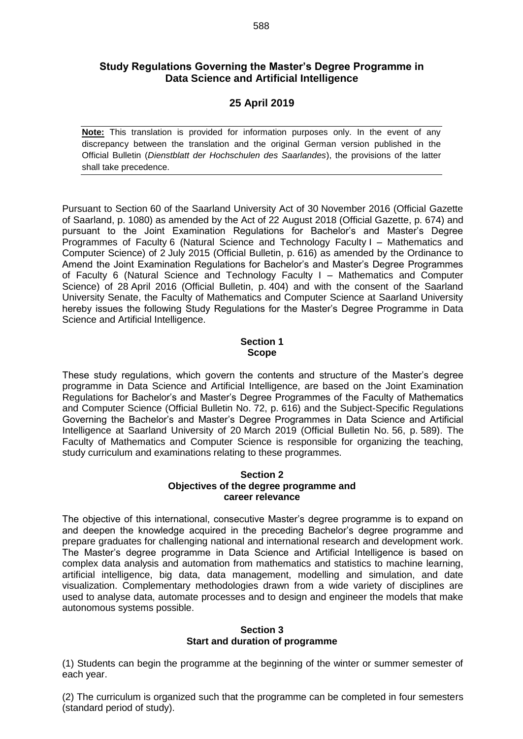# **Study Regulations Governing the Master's Degree Programme in Data Science and Artificial Intelligence**

# **25 April 2019**

**Note:** This translation is provided for information purposes only. In the event of any discrepancy between the translation and the original German version published in the Official Bulletin (*Dienstblatt der Hochschulen des Saarlandes*), the provisions of the latter shall take precedence.

Pursuant to Section 60 of the Saarland University Act of 30 November 2016 (Official Gazette of Saarland, p. 1080) as amended by the Act of 22 August 2018 (Official Gazette, p. 674) and pursuant to the Joint Examination Regulations for Bachelor's and Master's Degree Programmes of Faculty 6 (Natural Science and Technology Faculty I – Mathematics and Computer Science) of 2 July 2015 (Official Bulletin, p. 616) as amended by the Ordinance to Amend the Joint Examination Regulations for Bachelor's and Master's Degree Programmes of Faculty 6 (Natural Science and Technology Faculty I – Mathematics and Computer Science) of 28 April 2016 (Official Bulletin, p. 404) and with the consent of the Saarland University Senate, the Faculty of Mathematics and Computer Science at Saarland University hereby issues the following Study Regulations for the Master's Degree Programme in Data Science and Artificial Intelligence.

#### **Section 1 Scope**

These study regulations, which govern the contents and structure of the Master's degree programme in Data Science and Artificial Intelligence, are based on the Joint Examination Regulations for Bachelor's and Master's Degree Programmes of the Faculty of Mathematics and Computer Science (Official Bulletin No. 72, p. 616) and the Subject-Specific Regulations Governing the Bachelor's and Master's Degree Programmes in Data Science and Artificial Intelligence at Saarland University of 20 March 2019 (Official Bulletin No. 56, p. 589). The Faculty of Mathematics and Computer Science is responsible for organizing the teaching, study curriculum and examinations relating to these programmes.

#### **Section 2 Objectives of the degree programme and career relevance**

The objective of this international, consecutive Master's degree programme is to expand on and deepen the knowledge acquired in the preceding Bachelor's degree programme and prepare graduates for challenging national and international research and development work. The Master's degree programme in Data Science and Artificial Intelligence is based on complex data analysis and automation from mathematics and statistics to machine learning, artificial intelligence, big data, data management, modelling and simulation, and date visualization. Complementary methodologies drawn from a wide variety of disciplines are used to analyse data, automate processes and to design and engineer the models that make autonomous systems possible.

### **Section 3 Start and duration of programme**

(1) Students can begin the programme at the beginning of the winter or summer semester of each year.

(2) The curriculum is organized such that the programme can be completed in four semesters (standard period of study).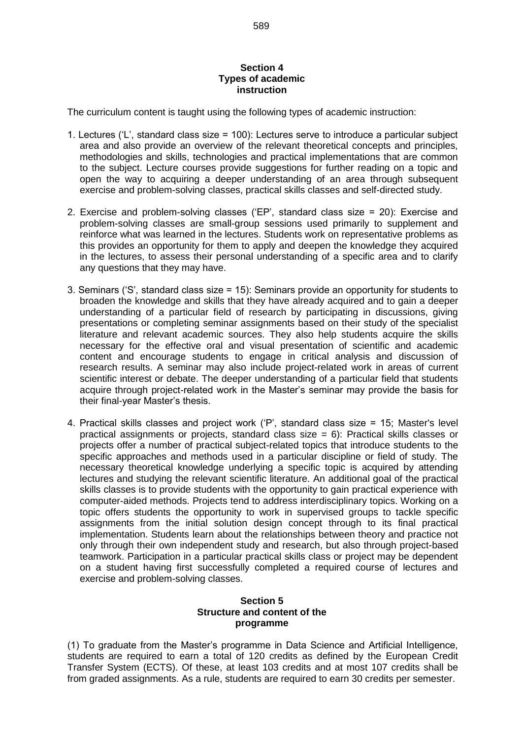#### **Section 4 Types of academic instruction**

The curriculum content is taught using the following types of academic instruction:

- 1. Lectures ('L', standard class size = 100): Lectures serve to introduce a particular subject area and also provide an overview of the relevant theoretical concepts and principles, methodologies and skills, technologies and practical implementations that are common to the subject. Lecture courses provide suggestions for further reading on a topic and open the way to acquiring a deeper understanding of an area through subsequent exercise and problem-solving classes, practical skills classes and self-directed study.
- 2. Exercise and problem-solving classes ('EP', standard class size = 20): Exercise and problem-solving classes are small-group sessions used primarily to supplement and reinforce what was learned in the lectures. Students work on representative problems as this provides an opportunity for them to apply and deepen the knowledge they acquired in the lectures, to assess their personal understanding of a specific area and to clarify any questions that they may have.
- 3. Seminars ('S', standard class size = 15): Seminars provide an opportunity for students to broaden the knowledge and skills that they have already acquired and to gain a deeper understanding of a particular field of research by participating in discussions, giving presentations or completing seminar assignments based on their study of the specialist literature and relevant academic sources. They also help students acquire the skills necessary for the effective oral and visual presentation of scientific and academic content and encourage students to engage in critical analysis and discussion of research results. A seminar may also include project-related work in areas of current scientific interest or debate. The deeper understanding of a particular field that students acquire through project-related work in the Master's seminar may provide the basis for their final-year Master's thesis.
- 4. Practical skills classes and project work ('P', standard class size = 15; Master's level practical assignments or projects, standard class size = 6): Practical skills classes or projects offer a number of practical subject-related topics that introduce students to the specific approaches and methods used in a particular discipline or field of study. The necessary theoretical knowledge underlying a specific topic is acquired by attending lectures and studying the relevant scientific literature. An additional goal of the practical skills classes is to provide students with the opportunity to gain practical experience with computer-aided methods. Projects tend to address interdisciplinary topics. Working on a topic offers students the opportunity to work in supervised groups to tackle specific assignments from the initial solution design concept through to its final practical implementation. Students learn about the relationships between theory and practice not only through their own independent study and research, but also through project-based teamwork. Participation in a particular practical skills class or project may be dependent on a student having first successfully completed a required course of lectures and exercise and problem-solving classes.

# **Section 5 Structure and content of the programme**

(1) To graduate from the Master's programme in Data Science and Artificial Intelligence, students are required to earn a total of 120 credits as defined by the European Credit Transfer System (ECTS). Of these, at least 103 credits and at most 107 credits shall be from graded assignments. As a rule, students are required to earn 30 credits per semester.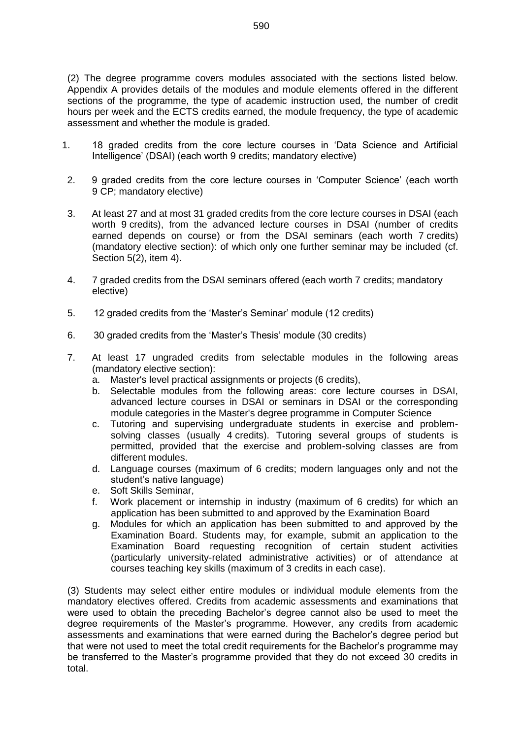(2) The degree programme covers modules associated with the sections listed below. Appendix A provides details of the modules and module elements offered in the different sections of the programme, the type of academic instruction used, the number of credit hours per week and the ECTS credits earned, the module frequency, the type of academic assessment and whether the module is graded.

- 1. 18 graded credits from the core lecture courses in 'Data Science and Artificial Intelligence' (DSAI) (each worth 9 credits; mandatory elective)
- 2. 9 graded credits from the core lecture courses in 'Computer Science' (each worth 9 CP; mandatory elective)
- 3. At least 27 and at most 31 graded credits from the core lecture courses in DSAI (each worth 9 credits), from the advanced lecture courses in DSAI (number of credits earned depends on course) or from the DSAI seminars (each worth 7 credits) (mandatory elective section): of which only one further seminar may be included (cf. Section 5(2), item 4).
- 4. 7 graded credits from the DSAI seminars offered (each worth 7 credits; mandatory elective)
- 5. 12 graded credits from the 'Master's Seminar' module (12 credits)
- 6. 30 graded credits from the 'Master's Thesis' module (30 credits)
- 7. At least 17 ungraded credits from selectable modules in the following areas (mandatory elective section):
	- a. Master's level practical assignments or projects (6 credits),
	- b. Selectable modules from the following areas: core lecture courses in DSAI, advanced lecture courses in DSAI or seminars in DSAI or the corresponding module categories in the Master's degree programme in Computer Science
	- c. Tutoring and supervising undergraduate students in exercise and problemsolving classes (usually 4 credits). Tutoring several groups of students is permitted, provided that the exercise and problem-solving classes are from different modules.
	- d. Language courses (maximum of 6 credits; modern languages only and not the student's native language)
	- e. Soft Skills Seminar,
	- f. Work placement or internship in industry (maximum of 6 credits) for which an application has been submitted to and approved by the Examination Board
	- g. Modules for which an application has been submitted to and approved by the Examination Board. Students may, for example, submit an application to the Examination Board requesting recognition of certain student activities (particularly university-related administrative activities) or of attendance at courses teaching key skills (maximum of 3 credits in each case).

(3) Students may select either entire modules or individual module elements from the mandatory electives offered. Credits from academic assessments and examinations that were used to obtain the preceding Bachelor's degree cannot also be used to meet the degree requirements of the Master's programme. However, any credits from academic assessments and examinations that were earned during the Bachelor's degree period but that were not used to meet the total credit requirements for the Bachelor's programme may be transferred to the Master's programme provided that they do not exceed 30 credits in total.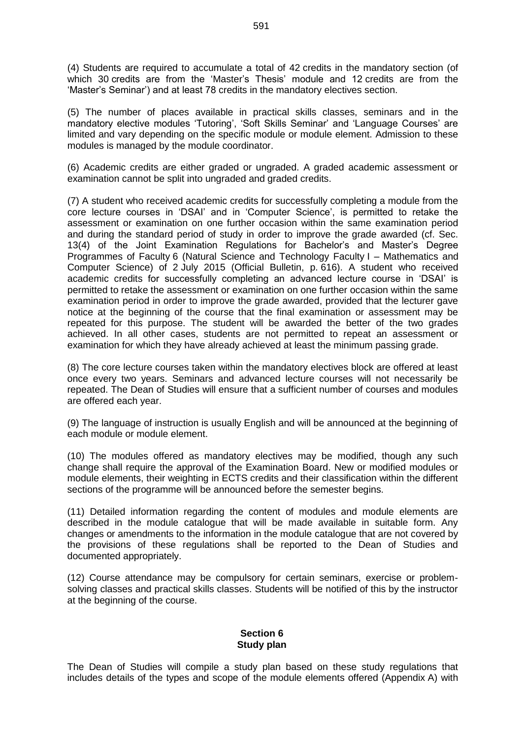(4) Students are required to accumulate a total of 42 credits in the mandatory section (of which 30 credits are from the 'Master's Thesis' module and 12 credits are from the 'Master's Seminar') and at least 78 credits in the mandatory electives section.

(5) The number of places available in practical skills classes, seminars and in the mandatory elective modules 'Tutoring', 'Soft Skills Seminar' and 'Language Courses' are limited and vary depending on the specific module or module element. Admission to these modules is managed by the module coordinator.

(6) Academic credits are either graded or ungraded. A graded academic assessment or examination cannot be split into ungraded and graded credits.

(7) A student who received academic credits for successfully completing a module from the core lecture courses in 'DSAI' and in 'Computer Science', is permitted to retake the assessment or examination on one further occasion within the same examination period and during the standard period of study in order to improve the grade awarded (cf. Sec. 13(4) of the Joint Examination Regulations for Bachelor's and Master's Degree Programmes of Faculty 6 (Natural Science and Technology Faculty I – Mathematics and Computer Science) of 2 July 2015 (Official Bulletin, p. 616). A student who received academic credits for successfully completing an advanced lecture course in 'DSAI' is permitted to retake the assessment or examination on one further occasion within the same examination period in order to improve the grade awarded, provided that the lecturer gave notice at the beginning of the course that the final examination or assessment may be repeated for this purpose. The student will be awarded the better of the two grades achieved. In all other cases, students are not permitted to repeat an assessment or examination for which they have already achieved at least the minimum passing grade.

(8) The core lecture courses taken within the mandatory electives block are offered at least once every two years. Seminars and advanced lecture courses will not necessarily be repeated. The Dean of Studies will ensure that a sufficient number of courses and modules are offered each year.

(9) The language of instruction is usually English and will be announced at the beginning of each module or module element.

(10) The modules offered as mandatory electives may be modified, though any such change shall require the approval of the Examination Board. New or modified modules or module elements, their weighting in ECTS credits and their classification within the different sections of the programme will be announced before the semester begins.

(11) Detailed information regarding the content of modules and module elements are described in the module catalogue that will be made available in suitable form. Any changes or amendments to the information in the module catalogue that are not covered by the provisions of these regulations shall be reported to the Dean of Studies and documented appropriately.

(12) Course attendance may be compulsory for certain seminars, exercise or problemsolving classes and practical skills classes. Students will be notified of this by the instructor at the beginning of the course.

### **Section 6 Study plan**

The Dean of Studies will compile a study plan based on these study regulations that includes details of the types and scope of the module elements offered (Appendix A) with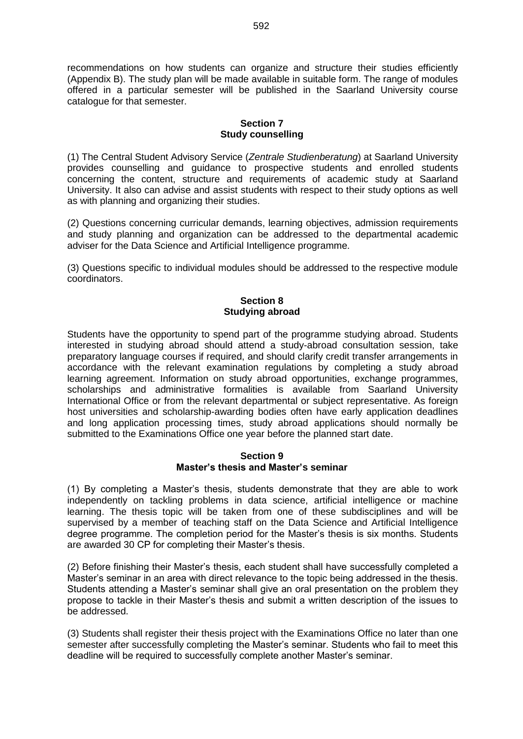recommendations on how students can organize and structure their studies efficiently (Appendix B). The study plan will be made available in suitable form. The range of modules offered in a particular semester will be published in the Saarland University course catalogue for that semester.

# **Section 7 Study counselling**

(1) The Central Student Advisory Service (*Zentrale Studienberatung*) at Saarland University provides counselling and guidance to prospective students and enrolled students concerning the content, structure and requirements of academic study at Saarland University. It also can advise and assist students with respect to their study options as well as with planning and organizing their studies.

(2) Questions concerning curricular demands, learning objectives, admission requirements and study planning and organization can be addressed to the departmental academic adviser for the Data Science and Artificial Intelligence programme.

(3) Questions specific to individual modules should be addressed to the respective module coordinators.

# **Section 8 Studying abroad**

Students have the opportunity to spend part of the programme studying abroad. Students interested in studying abroad should attend a study-abroad consultation session, take preparatory language courses if required, and should clarify credit transfer arrangements in accordance with the relevant examination regulations by completing a study abroad learning agreement. Information on study abroad opportunities, exchange programmes, scholarships and administrative formalities is available from Saarland University International Office or from the relevant departmental or subject representative. As foreign host universities and scholarship-awarding bodies often have early application deadlines and long application processing times, study abroad applications should normally be submitted to the Examinations Office one year before the planned start date.

#### **Section 9 Master's thesis and Master's seminar**

(1) By completing a Master's thesis, students demonstrate that they are able to work independently on tackling problems in data science, artificial intelligence or machine learning. The thesis topic will be taken from one of these subdisciplines and will be supervised by a member of teaching staff on the Data Science and Artificial Intelligence degree programme. The completion period for the Master's thesis is six months. Students are awarded 30 CP for completing their Master's thesis.

(2) Before finishing their Master's thesis, each student shall have successfully completed a Master's seminar in an area with direct relevance to the topic being addressed in the thesis. Students attending a Master's seminar shall give an oral presentation on the problem they propose to tackle in their Master's thesis and submit a written description of the issues to be addressed.

(3) Students shall register their thesis project with the Examinations Office no later than one semester after successfully completing the Master's seminar. Students who fail to meet this deadline will be required to successfully complete another Master's seminar.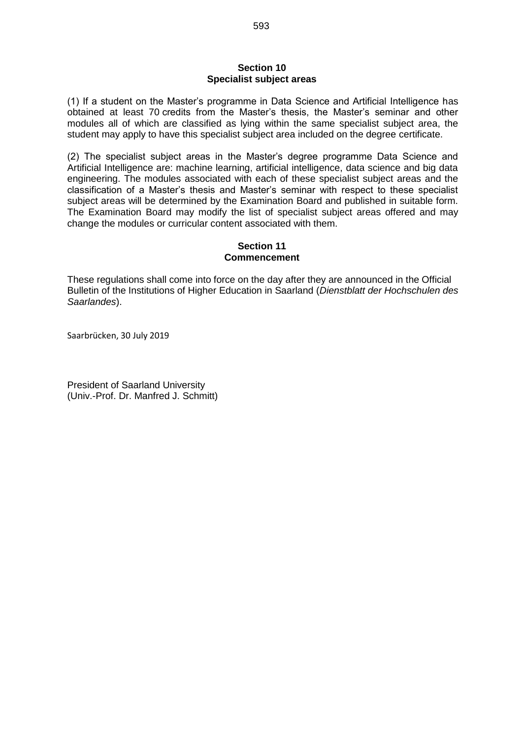#### **Section 10 Specialist subject areas**

(1) If a student on the Master's programme in Data Science and Artificial Intelligence has obtained at least 70 credits from the Master's thesis, the Master's seminar and other modules all of which are classified as lying within the same specialist subject area, the student may apply to have this specialist subject area included on the degree certificate.

(2) The specialist subject areas in the Master's degree programme Data Science and Artificial Intelligence are: machine learning, artificial intelligence, data science and big data engineering. The modules associated with each of these specialist subject areas and the classification of a Master's thesis and Master's seminar with respect to these specialist subject areas will be determined by the Examination Board and published in suitable form. The Examination Board may modify the list of specialist subject areas offered and may change the modules or curricular content associated with them.

# **Section 11 Commencement**

These regulations shall come into force on the day after they are announced in the Official Bulletin of the Institutions of Higher Education in Saarland (*Dienstblatt der Hochschulen des Saarlandes*).

Saarbrücken, 30 July 2019

President of Saarland University (Univ.-Prof. Dr. Manfred J. Schmitt)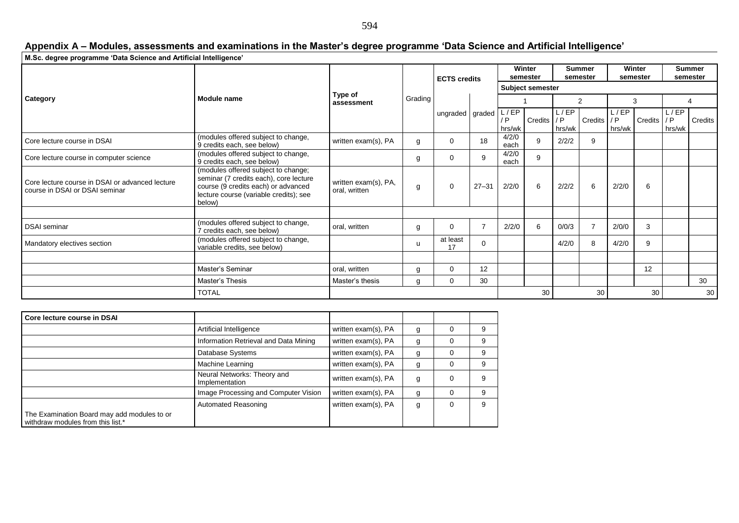#### **Appendix A – Modules, assessments and examinations in the Master's degree programme 'Data Science and Artificial Intelligence'**

| M.Sc. degree programme 'Data Science and Artificial Intelligence'                 |                                                                                                                                                                          |                                       |         |                     |                |                       |             |                           |                |                    |                |                           |         |
|-----------------------------------------------------------------------------------|--------------------------------------------------------------------------------------------------------------------------------------------------------------------------|---------------------------------------|---------|---------------------|----------------|-----------------------|-------------|---------------------------|----------------|--------------------|----------------|---------------------------|---------|
| <b>Category</b>                                                                   | Module name                                                                                                                                                              | Type of<br>assessment                 | Grading | <b>ECTS credits</b> |                | Winter<br>semester    |             | <b>Summer</b><br>semester |                | Winter<br>semester |                | <b>Summer</b><br>semester |         |
|                                                                                   |                                                                                                                                                                          |                                       |         |                     |                | Subject semester      |             |                           |                |                    |                |                           |         |
|                                                                                   |                                                                                                                                                                          |                                       |         | ungraded graded     |                |                       |             | 2                         |                | 3                  |                |                           |         |
|                                                                                   |                                                                                                                                                                          |                                       |         |                     |                | L/EP<br>/ P<br>hrs/wk | Credits / P | L/EP<br>hrs/wk            | Credits / P    | L / EP<br>hrs/wk   | <b>Credits</b> | L / EP<br>/ P<br>hrs/wk   | Credits |
| Core lecture course in DSAI                                                       | (modules offered subject to change,<br>9 credits each, see below)                                                                                                        | written exam(s), PA                   | g       | $\mathbf 0$         | 18             | 4/2/0<br>each         | 9           | 2/2/2                     | 9              |                    |                |                           |         |
| Core lecture course in computer science                                           | (modules offered subject to change,<br>9 credits each, see below)                                                                                                        |                                       | g       | $\mathbf 0$         | 9              | 4/2/0<br>each         | 9           |                           |                |                    |                |                           |         |
| Core lecture course in DSAI or advanced lecture<br>course in DSAI or DSAI seminar | (modules offered subject to change;<br>seminar (7 credits each), core lecture<br>course (9 credits each) or advanced<br>lecture course (variable credits); see<br>below) | written exam(s), PA,<br>oral, written | g       | $\mathbf 0$         | $27 - 31$      | 2/2/0                 | 6           | 2/2/2                     | 6              | 2/2/0              | 6              |                           |         |
|                                                                                   |                                                                                                                                                                          |                                       |         |                     |                |                       |             |                           |                |                    |                |                           |         |
| <b>DSAI</b> seminar                                                               | (modules offered subject to change,<br>7 credits each, see below)                                                                                                        | oral, written                         | g       | $\mathbf 0$         | $\overline{7}$ | 2/2/0                 | 6           | 0/0/3                     | $\overline{7}$ | 2/0/0              | 3              |                           |         |
| Mandatory electives section                                                       | (modules offered subject to change,<br>variable credits, see below)                                                                                                      |                                       | u       | at least<br>17      | $\Omega$       |                       |             | 4/2/0                     | 8              | 4/2/0              | 9              |                           |         |
|                                                                                   |                                                                                                                                                                          |                                       |         |                     |                |                       |             |                           |                |                    |                |                           |         |
|                                                                                   | Master's Seminar                                                                                                                                                         | oral, written                         | g       | 0                   | 12             |                       |             |                           |                |                    | 12             |                           |         |
|                                                                                   | Master's Thesis                                                                                                                                                          | Master's thesis                       | g       | $\mathbf 0$         | 30             |                       |             |                           |                |                    |                |                           | 30      |
|                                                                                   | <b>TOTAL</b>                                                                                                                                                             |                                       |         |                     |                |                       | 30          |                           | 30             |                    | 30             |                           | 30      |

| Core lecture course in DSAI                                                      |                                               |                     |   |          |   |
|----------------------------------------------------------------------------------|-----------------------------------------------|---------------------|---|----------|---|
|                                                                                  | Artificial Intelligence                       | written exam(s), PA | g |          |   |
|                                                                                  | Information Retrieval and Data Mining         | written exam(s), PA | g |          |   |
|                                                                                  | Database Systems                              | written exam(s), PA | g |          |   |
|                                                                                  | Machine Learning                              | written exam(s), PA | g | 0        |   |
|                                                                                  | Neural Networks: Theory and<br>Implementation | written exam(s), PA | g | 0        |   |
|                                                                                  | Image Processing and Computer Vision          | written exam(s), PA | g | $\Omega$ | 9 |
| The Examination Board may add modules to or<br>withdraw modules from this list.* | Automated Reasoning                           | written exam(s), PA | g | 0        |   |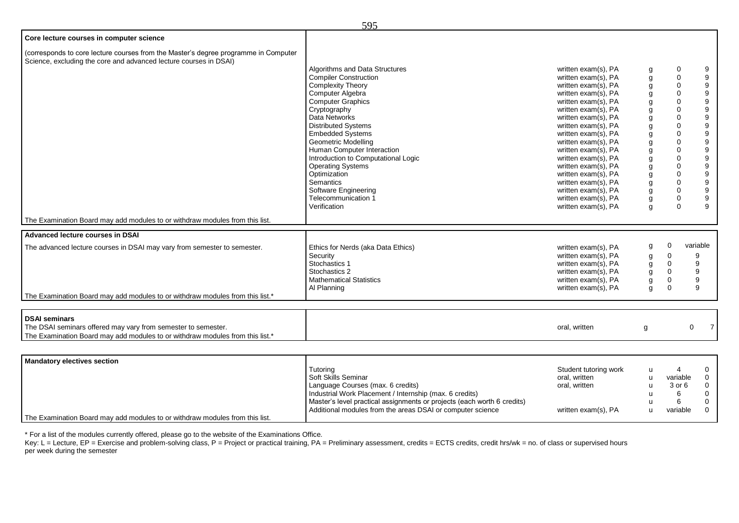|                                                                                                                                                          | ノフノ                                 |                     |   |                                                          |                     |
|----------------------------------------------------------------------------------------------------------------------------------------------------------|-------------------------------------|---------------------|---|----------------------------------------------------------|---------------------|
| Core lecture courses in computer science                                                                                                                 |                                     |                     |   |                                                          |                     |
| (corresponds to core lecture courses from the Master's degree programme in Computer<br>Science, excluding the core and advanced lecture courses in DSAI) |                                     |                     |   |                                                          |                     |
|                                                                                                                                                          | Algorithms and Data Structures      | written exam(s), PA | g | 0                                                        | 9                   |
|                                                                                                                                                          | <b>Compiler Construction</b>        | written exam(s), PA | g | $\mathbf 0$                                              | 9                   |
|                                                                                                                                                          | <b>Complexity Theory</b>            | written exam(s), PA | g | 0                                                        | 9                   |
|                                                                                                                                                          | Computer Algebra                    | written exam(s), PA | g | 0                                                        | 9                   |
|                                                                                                                                                          | <b>Computer Graphics</b>            | written exam(s), PA | g | 0                                                        | 9                   |
|                                                                                                                                                          | Cryptography                        | written exam(s), PA | g | 0                                                        | 9                   |
|                                                                                                                                                          | Data Networks                       | written exam(s), PA | g | 0                                                        | 9                   |
|                                                                                                                                                          | <b>Distributed Systems</b>          | written exam(s), PA | g | 0                                                        | 9                   |
|                                                                                                                                                          | <b>Embedded Systems</b>             | written exam(s), PA | g | 0                                                        | 9                   |
|                                                                                                                                                          | <b>Geometric Modelling</b>          | written exam(s), PA | g | 0                                                        | 9                   |
|                                                                                                                                                          | Human Computer Interaction          | written exam(s), PA | g | $\mathbf 0$                                              | $\boldsymbol{9}$    |
|                                                                                                                                                          | Introduction to Computational Logic | written exam(s), PA | g | 0                                                        | $\boldsymbol{9}$    |
|                                                                                                                                                          | <b>Operating Systems</b>            | written exam(s), PA | g | 0                                                        | 9                   |
|                                                                                                                                                          | Optimization                        | written exam(s), PA | g | 0                                                        | 9                   |
|                                                                                                                                                          | <b>Semantics</b>                    | written exam(s), PA |   | $\boldsymbol{9}$<br>$\mathbf 0$<br>g<br>9<br>$\mathbf 0$ |                     |
|                                                                                                                                                          | Software Engineering                | written exam(s), PA | g |                                                          |                     |
|                                                                                                                                                          | Telecommunication 1                 | written exam(s), PA | g | 0                                                        | 9                   |
|                                                                                                                                                          | Verification                        | written exam(s), PA | g | $\mathbf 0$                                              | 9                   |
| The Examination Board may add modules to or withdraw modules from this list.                                                                             |                                     |                     |   |                                                          |                     |
| Advanced lecture courses in DSAI                                                                                                                         |                                     |                     |   |                                                          |                     |
| The advanced lecture courses in DSAI may vary from semester to semester.                                                                                 | Ethics for Nerds (aka Data Ethics)  | written exam(s), PA | g | 0                                                        | variable            |
|                                                                                                                                                          | Security                            | written exam(s), PA | g | 0                                                        | 9                   |
|                                                                                                                                                          | Stochastics 1                       | written exam(s), PA | g | $\mathbf 0$                                              | 9                   |
|                                                                                                                                                          | Stochastics 2                       | written exam(s), PA | g | $\mathbf 0$                                              | 9                   |
|                                                                                                                                                          | <b>Mathematical Statistics</b>      | written exam(s), PA | g | $\Omega$                                                 | 9                   |
|                                                                                                                                                          | Al Planning                         | written exam(s), PA | g | $\Omega$                                                 | 9                   |
| The Examination Board may add modules to or withdraw modules from this list.*                                                                            |                                     |                     |   |                                                          |                     |
|                                                                                                                                                          |                                     |                     |   |                                                          |                     |
| <b>DSAI seminars</b>                                                                                                                                     |                                     |                     |   |                                                          |                     |
| The DSAI seminars offered may vary from semester to semester.                                                                                            |                                     | oral, written       | g |                                                          | $\overline{7}$<br>0 |
| The Examination Board may add modules to or withdraw modules from this list.*                                                                            |                                     |                     |   |                                                          |                     |
|                                                                                                                                                          |                                     |                     |   |                                                          |                     |
| <b>Mandatory electives section</b>                                                                                                                       |                                     |                     |   |                                                          |                     |

| I Mandatory electives section                                                |                                                                         |                       |          |                |
|------------------------------------------------------------------------------|-------------------------------------------------------------------------|-----------------------|----------|----------------|
|                                                                              | Tutorina                                                                | Student tutoring work |          |                |
|                                                                              | <b>Soft Skills Seminar</b>                                              | oral, written         | variable | $\overline{0}$ |
|                                                                              | Language Courses (max. 6 credits)                                       | oral, written         | 3 or 6   | $\Omega$       |
|                                                                              | Industrial Work Placement / Internship (max. 6 credits)                 |                       |          | $\Omega$       |
|                                                                              | Master's level practical assignments or projects (each worth 6 credits) |                       |          |                |
|                                                                              | Additional modules from the areas DSAI or computer science              | written exam(s), PA   | variable | $\cap$         |
| The Examination Board may add modules to or withdraw modules from this list. |                                                                         |                       |          |                |

\* For a list of the modules currently offered, please go to the website of the Examinations Office.

Key: L = Lecture, EP = Exercise and problem-solving class, P = Project or practical training, PA = Preliminary assessment, credits = ECTS credits, credit hrs/wk = no. of class or supervised hours per week during the semester